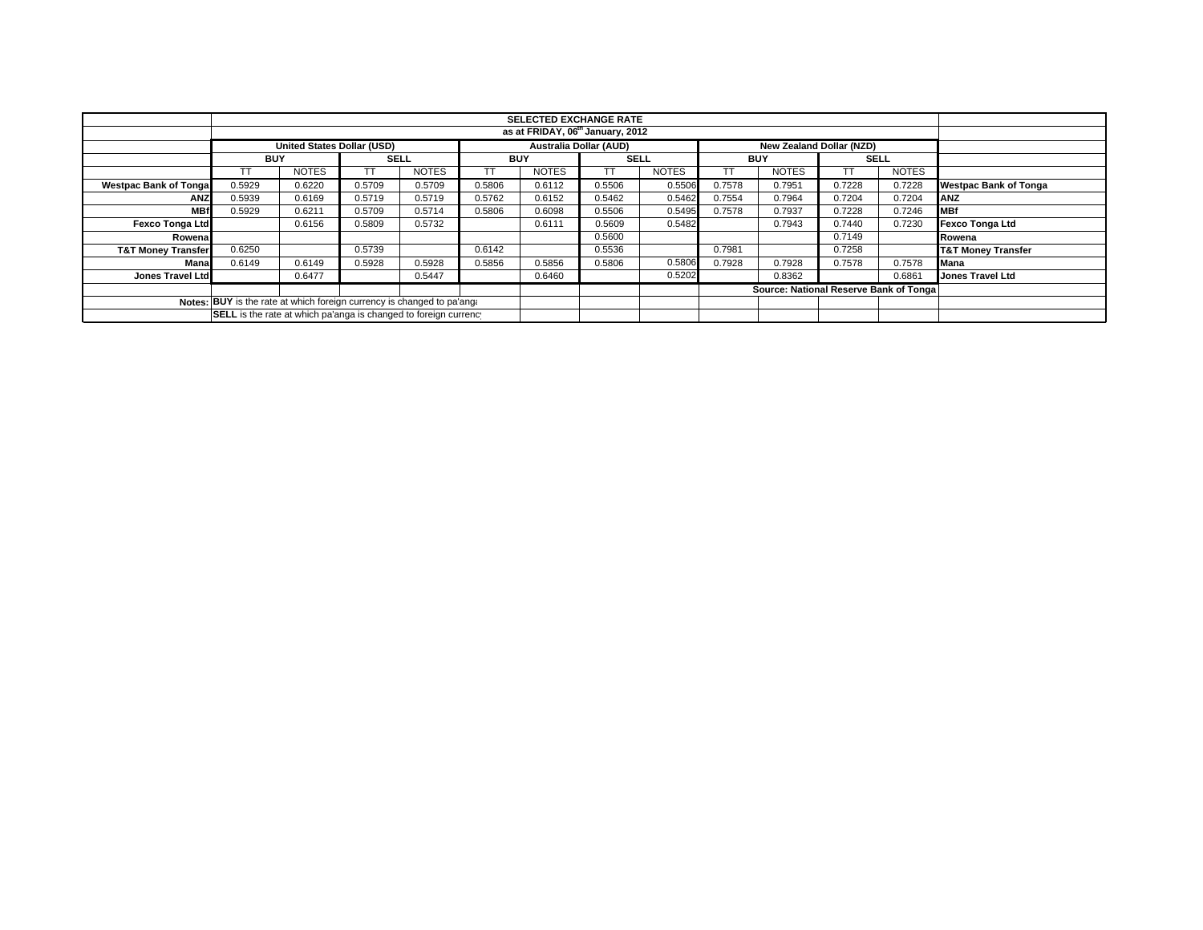|                                                                        |                                                                                                |                                              |             |              |            |              | <b>SELECTED EXCHANGE RATE</b> |              |            |                                        |             |              |                               |
|------------------------------------------------------------------------|------------------------------------------------------------------------------------------------|----------------------------------------------|-------------|--------------|------------|--------------|-------------------------------|--------------|------------|----------------------------------------|-------------|--------------|-------------------------------|
|                                                                        |                                                                                                | as at FRIDAY, 06 <sup>th</sup> January, 2012 |             |              |            |              |                               |              |            |                                        |             |              |                               |
|                                                                        | <b>United States Dollar (USD)</b><br><b>Australia Dollar (AUD)</b><br>New Zealand Dollar (NZD) |                                              |             |              |            |              |                               |              |            |                                        |             |              |                               |
|                                                                        | <b>BUY</b>                                                                                     |                                              | <b>SELL</b> |              | <b>BUY</b> |              | <b>SELL</b>                   |              | <b>BUY</b> |                                        | <b>SELL</b> |              |                               |
|                                                                        |                                                                                                | <b>NOTES</b>                                 |             | <b>NOTES</b> |            | <b>NOTES</b> |                               | <b>NOTES</b> |            | <b>NOTES</b>                           | TT          | <b>NOTES</b> |                               |
| <b>Westpac Bank of Tongal</b>                                          | 0.5929                                                                                         | 0.6220                                       | 0.5709      | 0.5709       | 0.5806     | 0.6112       | 0.5506                        | 0.5506       | 0.7578     | 0.7951                                 | 0.7228      | 0.7228       | <b>Westpac Bank of Tonga</b>  |
| <b>ANZ</b>                                                             | 0.5939                                                                                         | 0.6169                                       | 0.5719      | 0.5719       | 0.5762     | 0.6152       | 0.5462                        | 0.5462       | 0.7554     | 0.7964                                 | 0.7204      | 0.7204       | ANZ                           |
| <b>MBf</b>                                                             | 0.5929                                                                                         | 0.6211                                       | 0.5709      | 0.5714       | 0.5806     | 0.6098       | 0.5506                        | 0.5495       | 0.7578     | 0.7937                                 | 0.7228      | 0.7246       | <b>MBf</b>                    |
| <b>Fexco Tonga Ltd</b>                                                 |                                                                                                | 0.6156                                       | 0.5809      | 0.5732       |            | 0.6111       | 0.5609                        | 0.5482       |            | 0.7943                                 | 0.7440      | 0.7230       | <b>Fexco Tonga Ltd</b>        |
| Rowenal                                                                |                                                                                                |                                              |             |              |            |              | 0.5600                        |              |            |                                        | 0.7149      |              | Rowena                        |
| <b>T&amp;T Money Transfer</b>                                          | 0.6250                                                                                         |                                              | 0.5739      |              | 0.6142     |              | 0.5536                        |              | 0.7981     |                                        | 0.7258      |              | <b>T&amp;T Money Transfer</b> |
| Mana                                                                   | 0.6149                                                                                         | 0.6149                                       | 0.5928      | 0.5928       | 0.5856     | 0.5856       | 0.5806                        | 0.5806       | 0.7928     | 0.7928                                 | 0.7578      | 0.7578       | Mana                          |
| Jones Travel Ltd                                                       |                                                                                                | 0.6477                                       |             | 0.5447       |            | 0.6460       |                               | 0.5202       |            | 0.8362                                 |             | 0.6861       | <b>Jones Travel Ltd</b>       |
|                                                                        |                                                                                                |                                              |             |              |            |              |                               |              |            | Source: National Reserve Bank of Tonga |             |              |                               |
| Notes: BUY is the rate at which foreign currency is changed to pa'ang: |                                                                                                |                                              |             |              |            |              |                               |              |            |                                        |             |              |                               |
| SELL is the rate at which pa'anga is changed to foreign currency       |                                                                                                |                                              |             |              |            |              |                               |              |            |                                        |             |              |                               |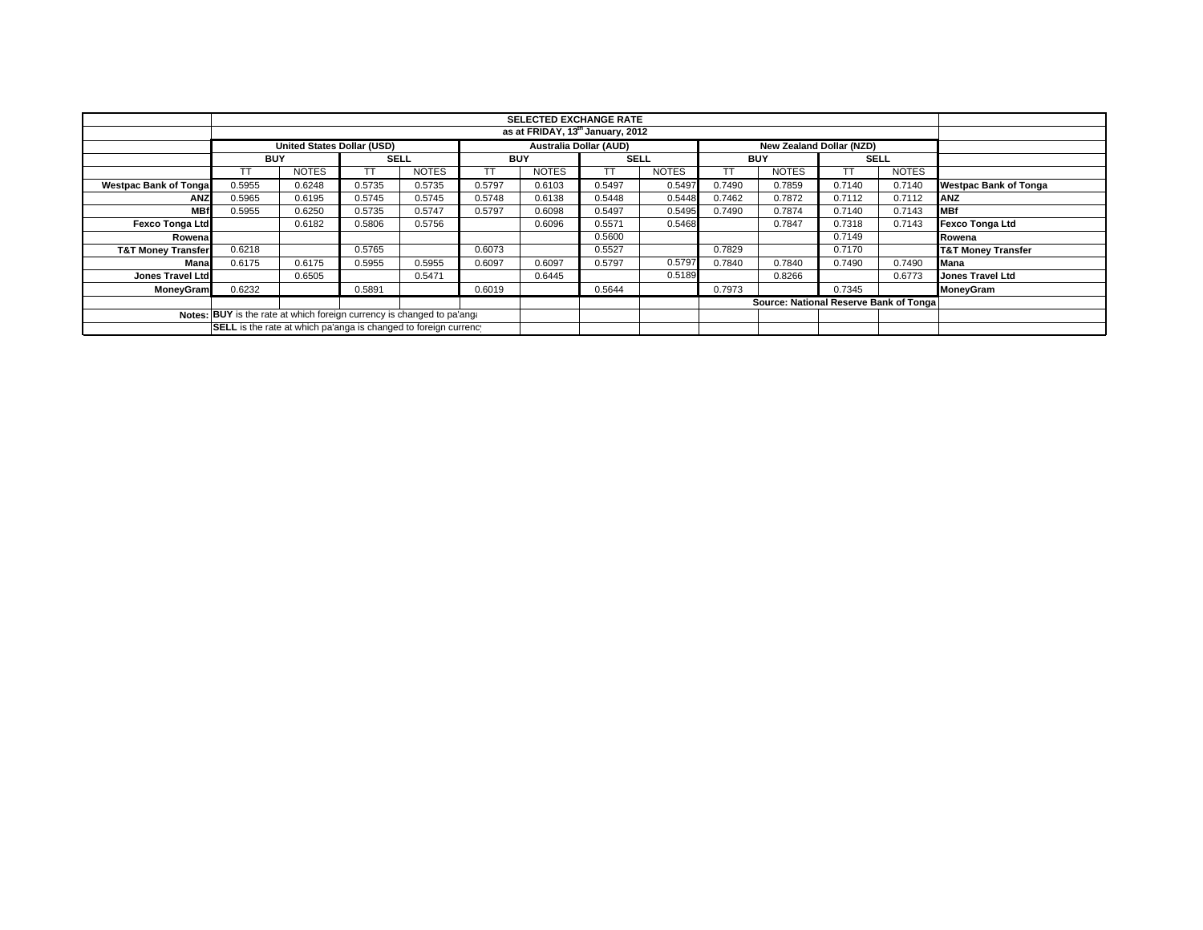|                                                                        |            |                                                                                         |             |              |            | <b>SELECTED EXCHANGE RATE</b><br>as at FRIDAY, 13th January, 2012 |             |              |            |                                        |             |              |                               |  |
|------------------------------------------------------------------------|------------|-----------------------------------------------------------------------------------------|-------------|--------------|------------|-------------------------------------------------------------------|-------------|--------------|------------|----------------------------------------|-------------|--------------|-------------------------------|--|
|                                                                        |            |                                                                                         |             |              |            |                                                                   |             |              |            |                                        |             |              |                               |  |
|                                                                        |            | <b>Australia Dollar (AUD)</b><br>United States Dollar (USD)<br>New Zealand Dollar (NZD) |             |              |            |                                                                   |             |              |            |                                        |             |              |                               |  |
|                                                                        | <b>BUY</b> |                                                                                         | <b>SELL</b> |              | <b>BUY</b> |                                                                   | <b>SELL</b> |              | <b>BUY</b> |                                        | <b>SELL</b> |              |                               |  |
|                                                                        |            | <b>NOTES</b>                                                                            |             | <b>NOTES</b> |            | <b>NOTES</b>                                                      | TТ          | <b>NOTES</b> | TT         | <b>NOTES</b>                           |             | <b>NOTES</b> |                               |  |
| <b>Westpac Bank of Tonga</b>                                           | 0.5955     | 0.6248                                                                                  | 0.5735      | 0.5735       | 0.5797     | 0.6103                                                            | 0.5497      | 0.5497       | 0.7490     | 0.7859                                 | 0.7140      | 0.7140       | <b>Westpac Bank of Tonga</b>  |  |
| <b>ANZ</b>                                                             | 0.5965     | 0.6195                                                                                  | 0.5745      | 0.5745       | 0.5748     | 0.6138                                                            | 0.5448      | 0.5448       | 0.7462     | 0.7872                                 | 0.7112      | 0.7112       | ANZ                           |  |
| <b>MBf</b>                                                             | 0.5955     | 0.6250                                                                                  | 0.5735      | 0.5747       | 0.5797     | 0.6098                                                            | 0.5497      | 0.5495       | 0.7490     | 0.7874                                 | 0.7140      | 0.7143       | <b>IMBf</b>                   |  |
| <b>Fexco Tonga Ltd</b>                                                 |            | 0.6182                                                                                  | 0.5806      | 0.5756       |            | 0.6096                                                            | 0.5571      | 0.5468       |            | 0.7847                                 | 0.7318      | 0.7143       | Fexco Tonga Ltd               |  |
| Rowena                                                                 |            |                                                                                         |             |              |            |                                                                   | 0.5600      |              |            |                                        | 0.7149      |              | Rowena                        |  |
| <b>T&amp;T Money Transfer</b>                                          | 0.6218     |                                                                                         | 0.5765      |              | 0.6073     |                                                                   | 0.5527      |              | 0.7829     |                                        | 0.7170      |              | <b>T&amp;T Money Transfer</b> |  |
| Mana                                                                   | 0.6175     | 0.6175                                                                                  | 0.5955      | 0.5955       | 0.6097     | 0.6097                                                            | 0.5797      | 0.5797       | 0.7840     | 0.7840                                 | 0.7490      | 0.7490       | <b>Mana</b>                   |  |
| <b>Jones Travel Ltd</b>                                                |            | 0.6505                                                                                  |             | 0.5471       |            | 0.6445                                                            |             | 0.5189       |            | 0.8266                                 |             | 0.6773       | <b>Jones Travel Ltd</b>       |  |
| <b>MoneyGram</b>                                                       | 0.6232     |                                                                                         | 0.5891      |              | 0.6019     |                                                                   | 0.5644      |              | 0.7973     |                                        | 0.7345      |              | <b>MoneyGram</b>              |  |
|                                                                        |            |                                                                                         |             |              |            |                                                                   |             |              |            | Source: National Reserve Bank of Tonga |             |              |                               |  |
| Notes: BUY is the rate at which foreign currency is changed to pa'ang. |            |                                                                                         |             |              |            |                                                                   |             |              |            |                                        |             |              |                               |  |
| SELL is the rate at which pa'anga is changed to foreign currency       |            |                                                                                         |             |              |            |                                                                   |             |              |            |                                        |             |              |                               |  |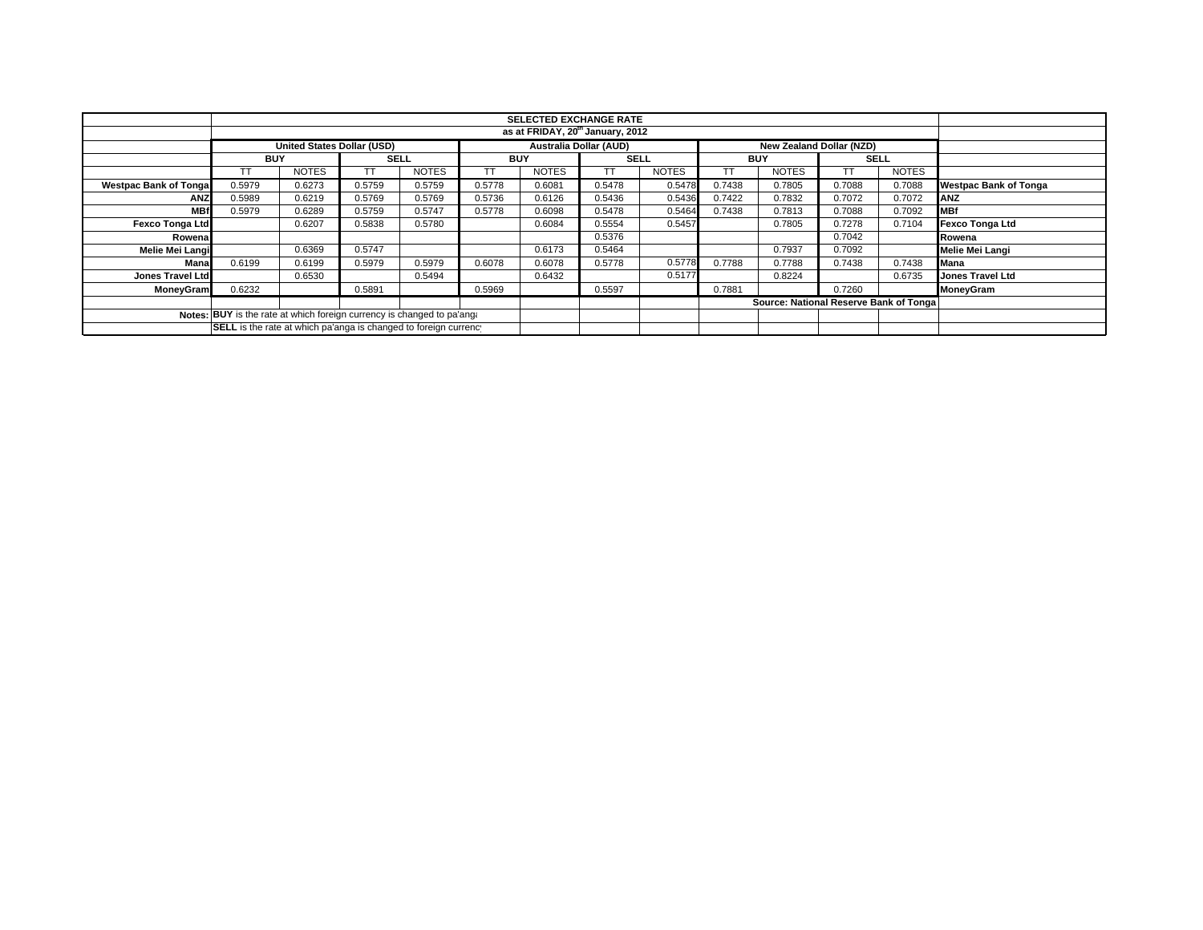|                                                                        |                                              | <b>SELECTED EXCHANGE RATE</b>                                                                  |             |              |            |              |             |              |            |                                        |             |              |                              |  |
|------------------------------------------------------------------------|----------------------------------------------|------------------------------------------------------------------------------------------------|-------------|--------------|------------|--------------|-------------|--------------|------------|----------------------------------------|-------------|--------------|------------------------------|--|
|                                                                        | as at FRIDAY, 20 <sup>th</sup> January, 2012 |                                                                                                |             |              |            |              |             |              |            |                                        |             |              |                              |  |
|                                                                        |                                              | <b>Australia Dollar (AUD)</b><br>United States Dollar (USD)<br><b>New Zealand Dollar (NZD)</b> |             |              |            |              |             |              |            |                                        |             |              |                              |  |
|                                                                        | <b>BUY</b>                                   |                                                                                                | <b>SELL</b> |              | <b>BUY</b> |              | <b>SELL</b> |              | <b>BUY</b> |                                        | <b>SELL</b> |              |                              |  |
|                                                                        |                                              | <b>NOTES</b>                                                                                   |             | <b>NOTES</b> |            | <b>NOTES</b> | TТ          | <b>NOTES</b> | ТT         | <b>NOTES</b>                           |             | <b>NOTES</b> |                              |  |
| <b>Westpac Bank of Tonga</b>                                           | 0.5979                                       | 0.6273                                                                                         | 0.5759      | 0.5759       | 0.5778     | 0.6081       | 0.5478      | 0.5478       | 0.7438     | 0.7805                                 | 0.7088      | 0.7088       | <b>Westpac Bank of Tonga</b> |  |
| <b>ANZ</b>                                                             | 0.5989                                       | 0.6219                                                                                         | 0.5769      | 0.5769       | 0.5736     | 0.6126       | 0.5436      | 0.5436       | 0.7422     | 0.7832                                 | 0.7072      | 0.7072       | ANZ                          |  |
| <b>MBf</b>                                                             | 0.5979                                       | 0.6289                                                                                         | 0.5759      | 0.5747       | 0.5778     | 0.6098       | 0.5478      | 0.5464       | 0.7438     | 0.7813                                 | 0.7088      | 0.7092       | <b>MBf</b>                   |  |
| <b>Fexco Tonga Ltd</b>                                                 |                                              | 0.6207                                                                                         | 0.5838      | 0.5780       |            | 0.6084       | 0.5554      | 0.5457       |            | 0.7805                                 | 0.7278      | 0.7104       | Fexco Tonga Ltd              |  |
| Rowena                                                                 |                                              |                                                                                                |             |              |            |              | 0.5376      |              |            |                                        | 0.7042      |              | Rowena                       |  |
| Melie Mei Langi                                                        |                                              | 0.6369                                                                                         | 0.5747      |              |            | 0.6173       | 0.5464      |              |            | 0.7937                                 | 0.7092      |              | Melie Mei Langi              |  |
| Mana                                                                   | 0.6199                                       | 0.6199                                                                                         | 0.5979      | 0.5979       | 0.6078     | 0.6078       | 0.5778      | 0.5778       | 0.7788     | 0.7788                                 | 0.7438      | 0.7438       | <b>Mana</b>                  |  |
| Jones Travel Ltd                                                       |                                              | 0.6530                                                                                         |             | 0.5494       |            | 0.6432       |             | 0.5177       |            | 0.8224                                 |             | 0.6735       | <b>Jones Travel Ltd</b>      |  |
| <b>MoneyGram</b>                                                       | 0.6232                                       |                                                                                                | 0.5891      |              | 0.5969     |              | 0.5597      |              | 0.7881     |                                        | 0.7260      |              | MoneyGram                    |  |
|                                                                        |                                              |                                                                                                |             |              |            |              |             |              |            | Source: National Reserve Bank of Tonga |             |              |                              |  |
| Notes: BUY is the rate at which foreign currency is changed to pa'ang: |                                              |                                                                                                |             |              |            |              |             |              |            |                                        |             |              |                              |  |
| SELL is the rate at which pa'anga is changed to foreign currency       |                                              |                                                                                                |             |              |            |              |             |              |            |                                        |             |              |                              |  |